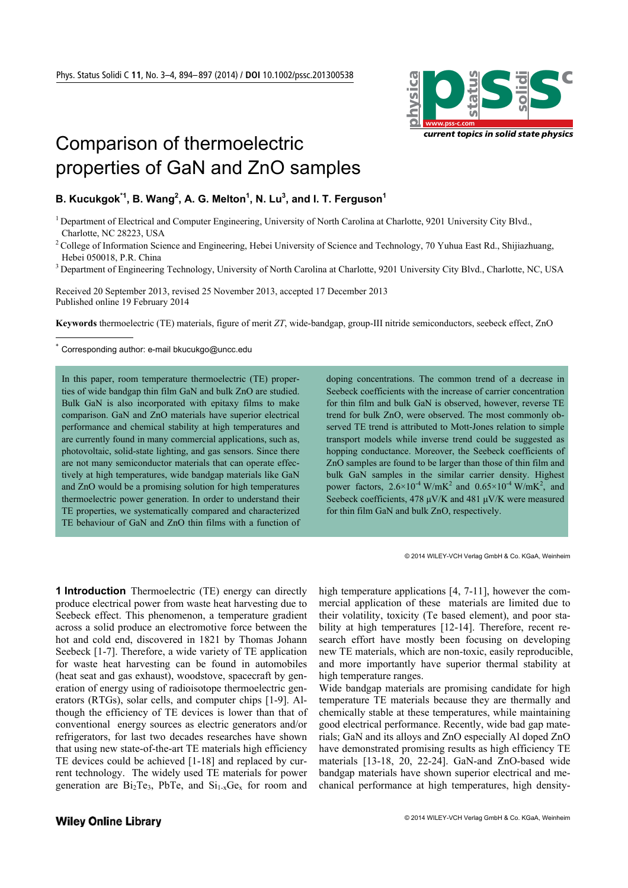

# Comparison of thermoelectric properties of GaN and ZnO samples

# **B. Kucukgok** $^{\star 1}$ **, B. Wang** $^2$ **, A. G. Melton** $^1$ **, N. Lu** $^3$ **, and I. T. Ferguson** $^1$

<sup>1</sup> Department of Electrical and Computer Engineering, University of North Carolina at Charlotte, 9201 University City Blvd., Charlotte, NC 28223, USA

<sup>2</sup> College of Information Science and Engineering, Hebei University of Science and Technology, 70 Yuhua East Rd., Shijiazhuang, Hebei 050018, P.R. China

<sup>3</sup> Department of Engineering Technology, University of North Carolina at Charlotte, 9201 University City Blvd., Charlotte, NC, USA

Received 20 September 2013, revised 25 November 2013, accepted 17 December 2013 Published online 19 February 2014

**Keywords** thermoelectric (TE) materials, figure of merit *ZT*, wide-bandgap, group-III nitride semiconductors, seebeck effect, ZnO

Corresponding author: e-mail bkucukgo@uncc.edu

<u>.</u>

In this paper, room temperature thermoelectric (TE) properties of wide bandgap thin film GaN and bulk ZnO are studied. Bulk GaN is also incorporated with epitaxy films to make comparison. GaN and ZnO materials have superior electrical performance and chemical stability at high temperatures and are currently found in many commercial applications, such as, photovoltaic, solid-state lighting, and gas sensors. Since there are not many semiconductor materials that can operate effectively at high temperatures, wide bandgap materials like GaN and ZnO would be a promising solution for high temperatures thermoelectric power generation. In order to understand their TE properties, we systematically compared and characterized TE behaviour of GaN and ZnO thin films with a function of doping concentrations. The common trend of a decrease in Seebeck coefficients with the increase of carrier concentration for thin film and bulk GaN is observed, however, reverse TE trend for bulk ZnO, were observed. The most commonly observed TE trend is attributed to Mott-Jones relation to simple transport models while inverse trend could be suggested as hopping conductance. Moreover, the Seebeck coefficients of ZnO samples are found to be larger than those of thin film and bulk GaN samples in the similar carrier density. Highest power factors,  $2.6 \times 10^{-4}$  W/mK<sup>2</sup> and  $0.65 \times 10^{-4}$  W/mK<sup>2</sup>, and Seebeck coefficients, 478 μV/K and 481 μV/K were measured for thin film GaN and bulk ZnO, respectively.

© 2014 WILEY-VCH Verlag GmbH & Co. KGaA, Weinheim

**1 Introduction** Thermoelectric (TE) energy can directly produce electrical power from waste heat harvesting due to Seebeck effect. This phenomenon, a temperature gradient across a solid produce an electromotive force between the hot and cold end, discovered in 1821 by Thomas Johann Seebeck [1-7]. Therefore, a wide variety of TE application for waste heat harvesting can be found in automobiles (heat seat and gas exhaust), woodstove, spacecraft by generation of energy using of radioisotope thermoelectric generators (RTGs), solar cells, and computer chips [1-9]. Although the efficiency of TE devices is lower than that of conventional energy sources as electric generators and/or refrigerators, for last two decades researches have shown that using new state-of-the-art TE materials high efficiency TE devices could be achieved [1-18] and replaced by current technology. The widely used TE materials for power generation are  $Bi<sub>2</sub>Te<sub>3</sub>$ , PbTe, and  $Si<sub>1-x</sub>Ge<sub>x</sub>$  for room and

high temperature applications [4, 7-11], however the commercial application of these materials are limited due to their volatility, toxicity (Te based element), and poor stability at high temperatures [12-14]. Therefore, recent research effort have mostly been focusing on developing new TE materials, which are non-toxic, easily reproducible, and more importantly have superior thermal stability at high temperature ranges.

Wide bandgap materials are promising candidate for high temperature TE materials because they are thermally and chemically stable at these temperatures, while maintaining good electrical performance. Recently, wide bad gap materials; GaN and its alloys and ZnO especially Al doped ZnO have demonstrated promising results as high efficiency TE materials [13-18, 20, 22-24]. GaN-and ZnO-based wide bandgap materials have shown superior electrical and mechanical performance at high temperatures, high density-

#### **Wiley Online Library**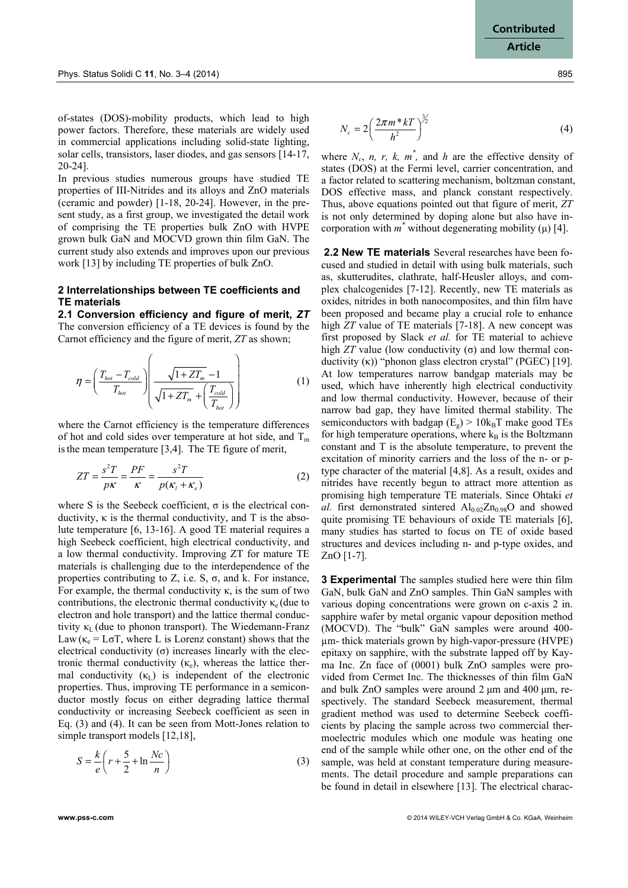of-states (DOS)-mobility products, which lead to high power factors. Therefore, these materials are widely used in commercial applications including solid-state lighting, solar cells, transistors, laser diodes, and gas sensors [14-17, 20-24].

In previous studies numerous groups have studied TE properties of III-Nitrides and its alloys and ZnO materials (ceramic and powder) [1-18, 20-24]. However, in the present study, as a first group, we investigated the detail work of comprising the TE properties bulk ZnO with HVPE grown bulk GaN and MOCVD grown thin film GaN. The current study also extends and improves upon our previous work [13] by including TE properties of bulk ZnO.

## **2 Interrelationships between TE coefficients and TE materials**

**2.1 Conversion efficiency and figure of merit,** *ZT* The conversion efficiency of a TE devices is found by the Carnot efficiency and the figure of merit, *ZT* as shown;

$$
\eta = \left(\frac{T_{hot} - T_{cold}}{T_{hot}}\right) \left(\frac{\sqrt{1 + ZT_m} - 1}{\sqrt{1 + ZT_m} + \left(\frac{T_{cold}}{T_{hot}}\right)}\right)
$$
(1)

where the Carnot efficiency is the temperature differences of hot and cold sides over temperature at hot side, and  $T_m$ isthe mean temperature [3,4]. The TE figure of merit,

$$
ZT = \frac{s^2T}{p\kappa} = \frac{PF}{\kappa} = \frac{s^2T}{p(\kappa_t + \kappa_e)}
$$
(2)

where S is the Seebeck coefficient,  $\sigma$  is the electrical conductivity,  $\kappa$  is the thermal conductivity, and T is the absolute temperature [6, 13-16]. A good TE material requires a high Seebeck coefficient, high electrical conductivity, and a low thermal conductivity. Improving ZT for mature TE materials is challenging due to the interdependence of the properties contributing to Z, i.e. S, σ, and k. For instance, For example, the thermal conductivity  $\kappa$ , is the sum of two contributions, the electronic thermal conductivity  $\kappa_e$  (due to electron and hole transport) and the lattice thermal conductivity  $\kappa_L$  (due to phonon transport). The Wiedemann-Franz Law ( $\kappa_e =$  L $\sigma$ T, where L is Lorenz constant) shows that the electrical conductivity  $(σ)$  increases linearly with the electronic thermal conductivity  $(\kappa_e)$ , whereas the lattice thermal conductivity  $(\kappa_L)$  is independent of the electronic properties. Thus, improving TE performance in a semiconductor mostly focus on either degrading lattice thermal conductivity or increasing Seebeck coefficient as seen in Eq. (3) and (4). It can be seen from Mott-Jones relation to simple transport models [12,18],

$$
S = \frac{k}{e} \left( r + \frac{5}{2} + \ln \frac{Nc}{n} \right) \tag{3}
$$

$$
N_c = 2\left(\frac{2\pi m * kT}{h^2}\right)^{\frac{3}{2}}\tag{4}
$$

where  $N_c$ , *n, r, k, m<sup>\*</sup>, and h* are the effective density of states (DOS) at the Fermi level, carrier concentration, and a factor related to scattering mechanism, boltzman constant, DOS effective mass, and planck constant respectively. Thus, above equations pointed out that figure of merit, *ZT* is not only determined by doping alone but also have incorporation with  $m^*$  without degenerating mobility ( $\mu$ ) [4].

**2.2 New TE materials** Several researches have been focused and studied in detail with using bulk materials, such as, skutterudites, clathrate, half-Heusler alloys, and complex chalcogenides [7-12]. Recently, new TE materials as oxides, nitrides in both nanocomposites, and thin film have been proposed and became play a crucial role to enhance high *ZT* value of TE materials [7-18]. A new concept was first proposed by Slack *et al.* for TE material to achieve high  $ZT$  value (low conductivity  $(\sigma)$  and low thermal conductivity (κ)) "phonon glass electron crystal" (PGEC) [19]. At low temperatures narrow bandgap materials may be used, which have inherently high electrical conductivity and low thermal conductivity. However, because of their narrow bad gap, they have limited thermal stability. The semiconductors with badgap  $(E_{g})$  > 10k<sub>B</sub>T make good TEs for high temperature operations, where  $k_B$  is the Boltzmann constant and T is the absolute temperature, to prevent the excitation of minority carriers and the loss of the n- or ptype character of the material [4,8]. As a result, oxides and nitrides have recently begun to attract more attention as promising high temperature TE materials. Since Ohtaki *et al.* first demonstrated sintered  $Al_{0.02}Zn_{0.98}O$  and showed quite promising TE behaviours of oxide TE materials [6], many studies has started to focus on TE of oxide based structures and devices including n- and p-type oxides, and ZnO [1-7].

**3 Experimental** The samples studied here were thin film GaN, bulk GaN and ZnO samples. Thin GaN samples with various doping concentrations were grown on c-axis 2 in. sapphire wafer by metal organic vapour deposition method (MOCVD). The "bulk" GaN samples were around 400 µm- thick materials grown by high-vapor-pressure (HVPE) epitaxy on sapphire, with the substrate lapped off by Kayma Inc. Zn face of (0001) bulk ZnO samples were provided from Cermet Inc. The thicknesses of thin film GaN and bulk ZnO samples were around 2 μm and 400 μm, respectively. The standard Seebeck measurement, thermal gradient method was used to determine Seebeck coefficients by placing the sample across two commercial thermoelectric modules which one module was heating one end of the sample while other one, on the other end of the sample, was held at constant temperature during measurements. The detail procedure and sample preparations can be found in detail in elsewhere [13]. The electrical charac-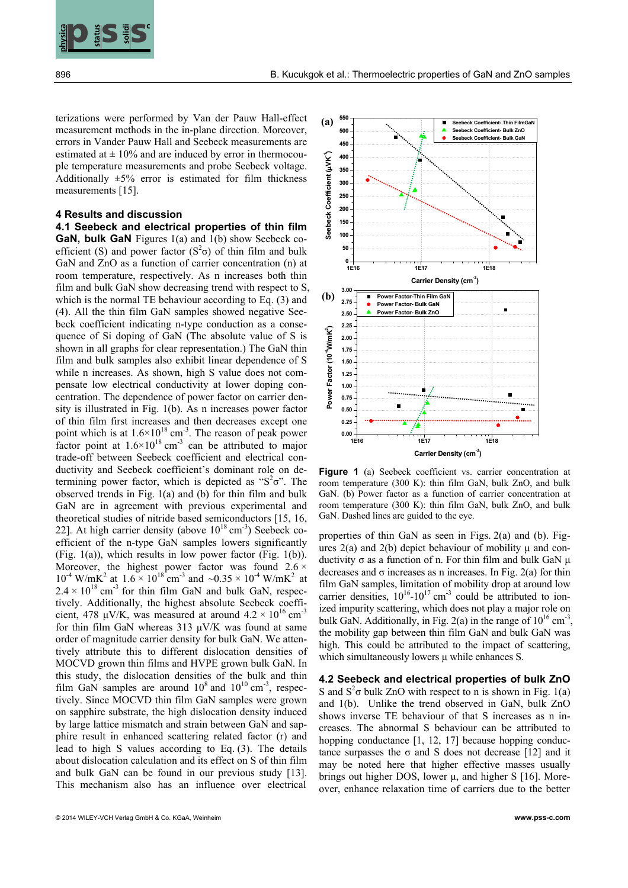

terizations were performed by Van der Pauw Hall-effect measurement methods in the in-plane direction. Moreover, errors in Vander Pauw Hall and Seebeck measurements are estimated at  $\pm$  10% and are induced by error in thermocouple temperature measurements and probe Seebeck voltage. Additionally  $\pm 5\%$  error is estimated for film thickness measurements [15].

**c**

## **4 Results and discussion**

**EXERCTS ASSEMBLE THE RELEASE OF THE CONSULTER CONTROL INTERFERING (CONTROL INTERFERING CONTROL INTERFERING CONTROL INTERFERING CONTROL INTERFERING CONTROL INTERFERING CONTROL INTERFERING CONTROL INTERFERING CONTROL INTER 4.1 Seebeck and electrical properties of thin film GaN, bulk GaN** Figures 1(a) and 1(b) show Seebeck coefficient (S) and power factor  $(S^2\sigma)$  of thin film and bulk GaN and ZnO as a function of carrier concentration (n) at room temperature, respectively. As n increases both thin film and bulk GaN show decreasing trend with respect to S, which is the normal TE behaviour according to Eq. (3) and (4). All the thin film GaN samples showed negative Seebeck coefficient indicating n-type conduction as a consequence of Si doping of GaN (The absolute value of S is shown in all graphs for clear representation.) The GaN thin film and bulk samples also exhibit linear dependence of S while n increases. As shown, high S value does not compensate low electrical conductivity at lower doping concentration. The dependence of power factor on carrier density is illustrated in Fig. 1(b). As n increases power factor of thin film first increases and then decreases except one point which is at  $1.6 \times 10^{18}$  cm<sup>-3</sup>. The reason of peak power factor point at  $1.6 \times 10^{18}$  cm<sup>-3</sup> can be attributed to major trade-off between Seebeck coefficient and electrical conductivity and Seebeck coefficient's dominant role on determining power factor, which is depicted as " $S^2\sigma$ ". The observed trends in Fig. 1(a) and (b) for thin film and bulk GaN are in agreement with previous experimental and theoretical studies of nitride based semiconductors [15, 16, 22]. At high carrier density (above  $10^{18}$  cm<sup>-3</sup>) Seebeck coefficient of the n-type GaN samples lowers significantly (Fig. 1(a)), which results in low power factor (Fig. 1(b)). Moreover, the highest power factor was found  $2.6 \times$  $10^{-4}$  W/mK<sup>2</sup> at  $1.6 \times 10^{18}$  cm<sup>-3</sup> and  $\sim 0.35 \times 10^{-4}$  W/mK<sup>2</sup> at  $2.4 \times 10^{18}$  cm<sup>-3</sup> for thin film GaN and bulk GaN, respectively. Additionally, the highest absolute Seebeck coefficient, 478 μV/K, was measured at around  $4.2 \times 10^{16}$  cm<sup>-3</sup> for thin film GaN whereas 313 μV/K was found at same order of magnitude carrier density for bulk GaN. We attentively attribute this to different dislocation densities of MOCVD grown thin films and HVPE grown bulk GaN. In this study, the dislocation densities of the bulk and thin film GaN samples are around  $10^8$  and  $10^{10}$  cm<sup>-3</sup>, respectively. Since MOCVD thin film GaN samples were grown on sapphire substrate, the high dislocation density induced by large lattice mismatch and strain between GaN and sapphire result in enhanced scattering related factor (r) and lead to high S values according to Eq. (3). The details about dislocation calculation and its effect on S of thin film and bulk GaN can be found in our previous study [13]. This mechanism also has an influence over electrical



Figure 1 (a) Seebeck coefficient vs. carrier concentration at room temperature (300 K): thin film GaN, bulk ZnO, and bulk GaN. (b) Power factor as a function of carrier concentration at room temperature (300 K): thin film GaN, bulk ZnO, and bulk GaN. Dashed lines are guided to the eye.

properties of thin GaN as seen in Figs. 2(a) and (b). Figures  $2(a)$  and  $2(b)$  depict behaviour of mobility  $\mu$  and conductivity σ as a function of n. For thin film and bulk GaN μ decreases and  $\sigma$  increases as n increases. In Fig. 2(a) for thin film GaN samples, limitation of mobility drop at around low carrier densities,  $10^{16}$ - $10^{17}$  cm<sup>-3</sup> could be attributed to ionized impurity scattering, which does not play a major role on bulk GaN. Additionally, in Fig. 2(a) in the range of  $10^{16}$  cm<sup>-3</sup>. the mobility gap between thin film GaN and bulk GaN was high. This could be attributed to the impact of scattering, which simultaneously lowers μ while enhances S.

**4.2 Seebeck and electrical properties of bulk ZnO** S and  $S^2\sigma$  bulk ZnO with respect to n is shown in Fig. 1(a) and 1(b). Unlike the trend observed in GaN, bulk ZnO shows inverse TE behaviour of that S increases as n increases. The abnormal S behaviour can be attributed to hopping conductance [1, 12, 17] because hopping conductance surpasses the σ and S does not decrease [12] and it may be noted here that higher effective masses usually brings out higher DOS, lower μ, and higher S [16]. Moreover, enhance relaxation time of carriers due to the better